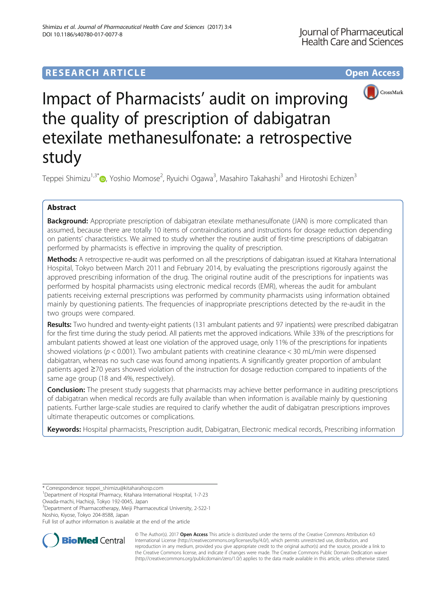# **RESEARCH ARTICLE Example 2014 12:30 The Contract of Contract ACCESS**



# Impact of Pharmacists' audit on improving the quality of prescription of dabigatran etexilate methanesulfonate: a retrospective study

Teppei Shimizu<sup>1[,](http://orcid.org/0000-0001-8080-9800)3\*</sup>©, Yoshio Momose<sup>2</sup>, Ryuichi Ogawa<sup>3</sup>, Masahiro Takahashi<sup>3</sup> and Hirotoshi Echizen<sup>3</sup>

# Abstract

**Background:** Appropriate prescription of dabigatran etexilate methanesulfonate (JAN) is more complicated than assumed, because there are totally 10 items of contraindications and instructions for dosage reduction depending on patients' characteristics. We aimed to study whether the routine audit of first-time prescriptions of dabigatran performed by pharmacists is effective in improving the quality of prescription.

Methods: A retrospective re-audit was performed on all the prescriptions of dabigatran issued at Kitahara International Hospital, Tokyo between March 2011 and February 2014, by evaluating the prescriptions rigorously against the approved prescribing information of the drug. The original routine audit of the prescriptions for inpatients was performed by hospital pharmacists using electronic medical records (EMR), whereas the audit for ambulant patients receiving external prescriptions was performed by community pharmacists using information obtained mainly by questioning patients. The frequencies of inappropriate prescriptions detected by the re-audit in the two groups were compared.

Results: Two hundred and twenty-eight patients (131 ambulant patients and 97 inpatients) were prescribed dabigatran for the first time during the study period. All patients met the approved indications. While 33% of the prescriptions for ambulant patients showed at least one violation of the approved usage, only 11% of the prescriptions for inpatients showed violations ( $p < 0.001$ ). Two ambulant patients with creatinine clearance  $<$  30 mL/min were dispensed dabigatran, whereas no such case was found among inpatients. A significantly greater proportion of ambulant patients aged ≥70 years showed violation of the instruction for dosage reduction compared to inpatients of the same age group (18 and 4%, respectively).

Conclusion: The present study suggests that pharmacists may achieve better performance in auditing prescriptions of dabigatran when medical records are fully available than when information is available mainly by questioning patients. Further large-scale studies are required to clarify whether the audit of dabigatran prescriptions improves ultimate therapeutic outcomes or complications.

Keywords: Hospital pharmacists, Prescription audit, Dabigatran, Electronic medical records, Prescribing information

<sup>3</sup>Department of Pharmacotherapy, Meiji Pharmaceutical University, 2-522-1 Noshio, Kiyose, Tokyo 204-8588, Japan

Full list of author information is available at the end of the article



© The Author(s). 2017 **Open Access** This article is distributed under the terms of the Creative Commons Attribution 4.0 International License [\(http://creativecommons.org/licenses/by/4.0/](http://creativecommons.org/licenses/by/4.0/)), which permits unrestricted use, distribution, and reproduction in any medium, provided you give appropriate credit to the original author(s) and the source, provide a link to the Creative Commons license, and indicate if changes were made. The Creative Commons Public Domain Dedication waiver [\(http://creativecommons.org/publicdomain/zero/1.0/](http://creativecommons.org/publicdomain/zero/1.0/)) applies to the data made available in this article, unless otherwise stated.

<sup>\*</sup> Correspondence: [teppei\\_shimizu@kitaharahosp.com](mailto:teppei_shimizu@kitaharahosp.com) <sup>1</sup>

Department of Hospital Pharmacy, Kitahara International Hospital, 1-7-23 Owada-machi, Hachioji, Tokyo 192-0045, Japan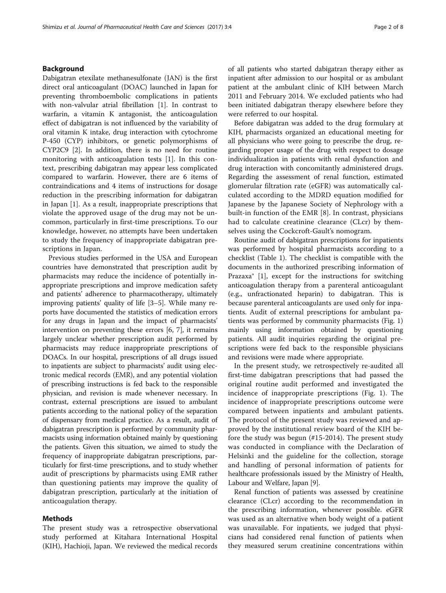# Background

Dabigatran etexilate methanesulfonate (JAN) is the first direct oral anticoagulant (DOAC) launched in Japan for preventing thromboembolic complications in patients with non-valvular atrial fibrillation [[1\]](#page-7-0). In contrast to warfarin, a vitamin K antagonist, the anticoagulation effect of dabigatran is not influenced by the variability of oral vitamin K intake, drug interaction with cytochrome P-450 (CYP) inhibitors, or genetic polymorphisms of CYP2C9 [[2](#page-7-0)]. In addition, there is no need for routine monitoring with anticoagulation tests [[1\]](#page-7-0). In this context, prescribing dabigatran may appear less complicated compared to warfarin. However, there are 6 items of contraindications and 4 items of instructions for dosage reduction in the prescribing information for dabigatran in Japan [[1\]](#page-7-0). As a result, inappropriate prescriptions that violate the approved usage of the drug may not be uncommon, particularly in first-time prescriptions. To our knowledge, however, no attempts have been undertaken to study the frequency of inappropriate dabigatran prescriptions in Japan.

Previous studies performed in the USA and European countries have demonstrated that prescription audit by pharmacists may reduce the incidence of potentially inappropriate prescriptions and improve medication safety and patients' adherence to pharmacotherapy, ultimately improving patients' quality of life [\[3](#page-7-0)–[5](#page-7-0)]. While many reports have documented the statistics of medication errors for any drugs in Japan and the impact of pharmacists' intervention on preventing these errors [\[6, 7](#page-7-0)], it remains largely unclear whether prescription audit performed by pharmacists may reduce inappropriate prescriptions of DOACs. In our hospital, prescriptions of all drugs issued to inpatients are subject to pharmacists' audit using electronic medical records (EMR), and any potential violation of prescribing instructions is fed back to the responsible physician, and revision is made whenever necessary. In contrast, external prescriptions are issued to ambulant patients according to the national policy of the separation of dispensary from medical practice. As a result, audit of dabigatran prescription is performed by community pharmacists using information obtained mainly by questioning the patients. Given this situation, we aimed to study the frequency of inappropriate dabigatran prescriptions, particularly for first-time prescriptions, and to study whether audit of prescriptions by pharmacists using EMR rather than questioning patients may improve the quality of dabigatran prescription, particularly at the initiation of anticoagulation therapy.

# Methods

The present study was a retrospective observational study performed at Kitahara International Hospital (KIH), Hachioji, Japan. We reviewed the medical records of all patients who started dabigatran therapy either as inpatient after admission to our hospital or as ambulant patient at the ambulant clinic of KIH between March 2011 and February 2014. We excluded patients who had been initiated dabigatran therapy elsewhere before they were referred to our hospital.

Before dabigatran was added to the drug formulary at KIH, pharmacists organized an educational meeting for all physicians who were going to prescribe the drug, regarding proper usage of the drug with respect to dosage individualization in patients with renal dysfunction and drug interaction with concomitantly administered drugs. Regarding the assessment of renal function, estimated glomerular filtration rate (eGFR) was automatically calculated according to the MDRD equation modified for Japanese by the Japanese Society of Nephrology with a built-in function of the EMR [\[8](#page-7-0)]. In contrast, physicians had to calculate creatinine clearance (CLcr) by themselves using the Cockcroft-Gault's nomogram.

Routine audit of dabigatran prescriptions for inpatients was performed by hospital pharmacists according to a checklist (Table [1\)](#page-2-0). The checklist is compatible with the documents in the authorized prescribing information of Prazaxa® [[1\]](#page-7-0), except for the instructions for switching anticoagulation therapy from a parenteral anticoagulant (e.g., unfractionated heparin) to dabigatran. This is because parenteral anticoagulants are used only for inpatients. Audit of external prescriptions for ambulant patients was performed by community pharmacists (Fig. [1](#page-2-0)) mainly using information obtained by questioning patients. All audit inquiries regarding the original prescriptions were fed back to the responsible physicians and revisions were made where appropriate.

In the present study, we retrospectively re-audited all first-time dabigatran prescriptions that had passed the original routine audit performed and investigated the incidence of inappropriate prescriptions (Fig. [1\)](#page-2-0). The incidence of inappropriate prescriptions outcome were compared between inpatients and ambulant patients. The protocol of the present study was reviewed and approved by the institutional review board of the KIH before the study was begun (#15-2014). The present study was conducted in compliance with the Declaration of Helsinki and the guideline for the collection, storage and handling of personal information of patients for healthcare professionals issued by the Ministry of Health, Labour and Welfare, Japan [[9](#page-7-0)].

Renal function of patients was assessed by creatinine clearance (CLcr) according to the recommendation in the prescribing information, whenever possible. eGFR was used as an alternative when body weight of a patient was unavailable. For inpatients, we judged that physicians had considered renal function of patients when they measured serum creatinine concentrations within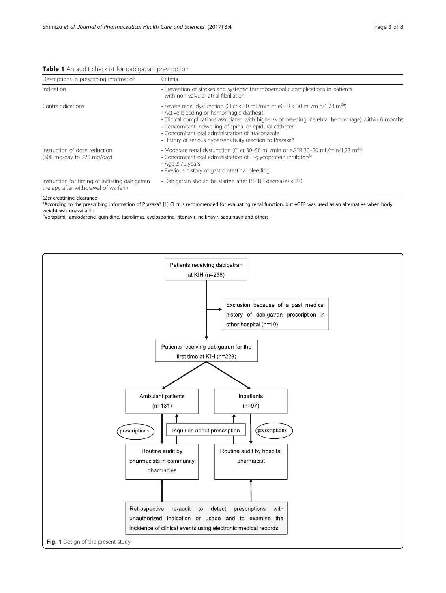<span id="page-2-0"></span>

|  |  |  | Table 1 An audit checklist for dabigatran prescription |
|--|--|--|--------------------------------------------------------|
|  |  |  |                                                        |

| Descriptions in prescribing information                                                 | Criteria<br>• Prevention of strokes and systemic thromboembolic complications in patients<br>with non-valvular atrial fibrillation<br>• Severe renal dysfunction (CLcr < 30 mL/min or eGFR < 30 mL/min/1.73 m <sup>2a</sup> )<br>• Active bleeding or hemorrhagic diathesis<br>• Clinical complications associated with high-risk of bleeding (cerebral hemorrhage) within 6 months<br>• Concomitant indwelling of spinal or epidural catheter<br>• Concomitant oral administration of itraconazole<br>• History of serious hypersensitivity reaction to Prazaxa® |  |  |  |  |
|-----------------------------------------------------------------------------------------|-------------------------------------------------------------------------------------------------------------------------------------------------------------------------------------------------------------------------------------------------------------------------------------------------------------------------------------------------------------------------------------------------------------------------------------------------------------------------------------------------------------------------------------------------------------------|--|--|--|--|
| Indication                                                                              |                                                                                                                                                                                                                                                                                                                                                                                                                                                                                                                                                                   |  |  |  |  |
| Contraindications                                                                       |                                                                                                                                                                                                                                                                                                                                                                                                                                                                                                                                                                   |  |  |  |  |
| Instruction of dose reduction<br>$(300 \text{ mg/day to } 220 \text{ mg/day})$          | • Moderate renal dysfunction (CLcr 30–50 mL/min or eGFR 30–50 mL/min/1.73 $\text{m}^{\text{2a}}$ )<br>• Concomitant oral administration of P-glycoprotein inhibitors <sup>b</sup><br>$\cdot$ Age $\geq$ 70 years<br>• Previous history of gastrointestinal bleeding                                                                                                                                                                                                                                                                                               |  |  |  |  |
| Instruction for timing of initiating dabigatran<br>therapy after withdrawal of warfarin | • Dabigatran should be started after PT-INR decreases < 2.0                                                                                                                                                                                                                                                                                                                                                                                                                                                                                                       |  |  |  |  |

CLcr creatinine clearance

a According to the prescribing information of Prazaxa® [[1](#page-7-0)] CLcr is recommended for evaluating renal function, but eGFR was used as an alternative when body weight was unavailable

<sup>b</sup>Verapamil, amiodarone, quinidine, tacrolimus, cyclosporine, ritonavir, nelfinavir, saquinavir and others

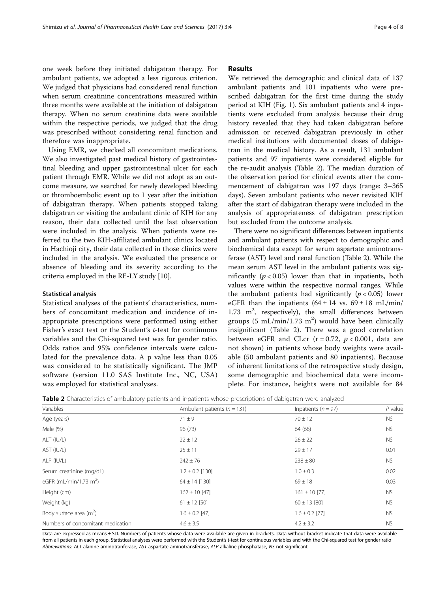<span id="page-3-0"></span>one week before they initiated dabigatran therapy. For ambulant patients, we adopted a less rigorous criterion. We judged that physicians had considered renal function when serum creatinine concentrations measured within three months were available at the initiation of dabigatran therapy. When no serum creatinine data were available within the respective periods, we judged that the drug was prescribed without considering renal function and therefore was inappropriate.

Using EMR, we checked all concomitant medications. We also investigated past medical history of gastrointestinal bleeding and upper gastrointestinal ulcer for each patient through EMR. While we did not adopt as an outcome measure, we searched for newly developed bleeding or thromboembolic event up to 1 year after the initiation of dabigatran therapy. When patients stopped taking dabigatran or visiting the ambulant clinic of KIH for any reason, their data collected until the last observation were included in the analysis. When patients were referred to the two KIH-affiliated ambulant clinics located in Hachioji city, their data collected in those clinics were included in the analysis. We evaluated the presence or absence of bleeding and its severity according to the criteria employed in the RE-LY study [[10\]](#page-7-0).

## Statistical analysis

Statistical analyses of the patients' characteristics, numbers of concomitant medication and incidence of inappropriate prescriptions were performed using either Fisher's exact test or the Student's *t*-test for continuous variables and the Chi-squared test was for gender ratio. Odds ratios and 95% confidence intervals were calculated for the prevalence data. A p value less than 0.05 was considered to be statistically significant. The JMP software (version 11.0 SAS Institute Inc., NC, USA) was employed for statistical analyses.

# Results

We retrieved the demographic and clinical data of 137 ambulant patients and 101 inpatients who were prescribed dabigatran for the first time during the study period at KIH (Fig. [1\)](#page-2-0). Six ambulant patients and 4 inpatients were excluded from analysis because their drug history revealed that they had taken dabigatran before admission or received dabigatran previously in other medical institutions with documented doses of dabigatran in the medical history. As a result, 131 ambulant patients and 97 inpatients were considered eligible for the re-audit analysis (Table 2). The median duration of the observation period for clinical events after the commencement of dabigatran was 197 days (range: 3–365 days). Seven ambulant patients who never revisited KIH after the start of dabigatran therapy were included in the analysis of appropriateness of dabigatran prescription but excluded from the outcome analysis.

There were no significant differences between inpatients and ambulant patients with respect to demographic and biochemical data except for serum aspartate aminotransferase (AST) level and renal function (Table 2). While the mean serum AST level in the ambulant patients was significantly ( $p < 0.05$ ) lower than that in inpatients, both values were within the respective normal ranges. While the ambulant patients had significantly  $(p < 0.05)$  lower eGFR than the inpatients  $(64 \pm 14 \text{ vs. } 69 \pm 18 \text{ mL/min/}$  $1.73$  m<sup>2</sup>, respectively), the small differences between groups (5 mL/min/1.73 m<sup>2</sup>) would have been clinically insignificant (Table 2). There was a good correlation between eGFR and CLcr ( $r = 0.72$ ,  $p < 0.001$ , data are not shown) in patients whose body weights were available (50 ambulant patients and 80 inpatients). Because of inherent limitations of the retrospective study design, some demographic and biochemical data were incomplete. For instance, heights were not available for 84

|  | <b>Table 2</b> Characteristics of ambulatory patients and inpatients whose prescriptions of dabigatran were analyzed |  |  |  |  |  |  |  |
|--|----------------------------------------------------------------------------------------------------------------------|--|--|--|--|--|--|--|
|--|----------------------------------------------------------------------------------------------------------------------|--|--|--|--|--|--|--|

| $\overline{\phantom{a}}$<br>Variables | Ambulant patients ( $n = 131$ ) | Inpatients ( $n = 97$ ) | $P$ value |
|---------------------------------------|---------------------------------|-------------------------|-----------|
|                                       |                                 |                         |           |
| Age (years)                           | $71 \pm 9$                      | $70 \pm 12$             | <b>NS</b> |
| Male (%)                              | 96 (73)                         | 64 (66)                 | <b>NS</b> |
| ALT (IU/L)                            | $22 \pm 12$                     | $26 \pm 22$             | <b>NS</b> |
| AST (IU/L)                            | $25 \pm 11$                     | $29 \pm 17$             | 0.01      |
| ALP (IU/L)                            | $242 \pm 76$                    | $238 \pm 80$            | <b>NS</b> |
| Serum creatinine (mg/dL)              | $1.2 \pm 0.2$ [130]             | $1.0 \pm 0.3$           | 0.02      |
| eGFR (mL/min/1.73 m <sup>2</sup> )    | $64 \pm 14$ [130]               | $69 \pm 18$             | 0.03      |
| Height (cm)                           | $162 \pm 10$ [47]               | $161 \pm 10$ [77]       | <b>NS</b> |
| Weight (kg)                           | $61 \pm 12$ [50]                | $60 \pm 13$ [80]        | <b>NS</b> |
| Body surface area $(m^2)$             | $1.6 \pm 0.2$ [47]              | $1.6 \pm 0.2$ [77]      | <b>NS</b> |
| Numbers of concomitant medication     | $4.6 \pm 3.5$                   | $4.2 \pm 3.2$           | <b>NS</b> |

Data are expressed as means ± SD. Numbers of patients whose data were available are given in brackets. Data without bracket indicate that data were available from all patients in each group. Statistical analyses were performed with the Student's t-test for continuous variables and with the Chi-squared test for gender ratio Abbreviations: ALT alanine aminotranferase, AST aspartate aminotransferase, ALP alkaline phosphatase, NS not significant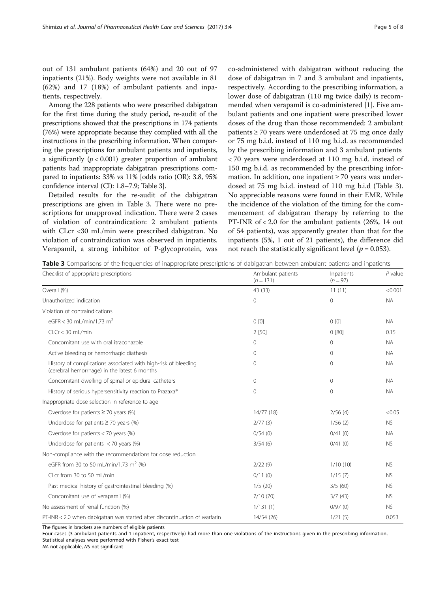<span id="page-4-0"></span>out of 131 ambulant patients (64%) and 20 out of 97 inpatients (21%). Body weights were not available in 81 (62%) and 17 (18%) of ambulant patients and inpatients, respectively.

Among the 228 patients who were prescribed dabigatran for the first time during the study period, re-audit of the prescriptions showed that the prescriptions in 174 patients (76%) were appropriate because they complied with all the instructions in the prescribing information. When comparing the prescriptions for ambulant patients and inpatients, a significantly ( $p < 0.001$ ) greater proportion of ambulant patients had inappropriate dabigatran prescriptions compared to inpatients: 33% vs 11% [odds ratio (OR): 3.8, 95% confidence interval (CI): 1.8–7.9; Table 3].

Detailed results for the re-audit of the dabigatran prescriptions are given in Table 3. There were no prescriptions for unapproved indication. There were 2 cases of violation of contraindication: 2 ambulant patients with CLcr <30 mL/min were prescribed dabigatran. No violation of contraindication was observed in inpatients. Verapamil, a strong inhibitor of P-glycoprotein, was co-administered with dabigatran without reducing the dose of dabigatran in 7 and 3 ambulant and inpatients, respectively. According to the prescribing information, a lower dose of dabigatran (110 mg twice daily) is recommended when verapamil is co-administered [[1\]](#page-7-0). Five ambulant patients and one inpatient were prescribed lower doses of the drug than those recommended: 2 ambulant patients  $\geq$  70 years were underdosed at 75 mg once daily or 75 mg b.i.d. instead of 110 mg b.i.d. as recommended by the prescribing information and 3 ambulant patients < 70 years were underdosed at 110 mg b.i.d. instead of 150 mg b.i.d. as recommended by the prescribing information. In addition, one inpatient  $\geq 70$  years was underdosed at 75 mg b.i.d. instead of 110 mg b.i.d (Table 3). No appreciable reasons were found in their EMR. While the incidence of the violation of the timing for the commencement of dabigatran therapy by referring to the PT-INR of < 2.0 for the ambulant patients (26%, 14 out of 54 patients), was apparently greater than that for the inpatients (5%, 1 out of 21 patients), the difference did not reach the statistically significant level ( $p = 0.053$ ).

Table 3 Comparisons of the frequencies of inappropriate prescriptions of dabigatran between ambulant patients and inpatients

| Checklist of appropriate prescriptions                                                                         | Ambulant patients<br>$(n = 131)$ | Inpatients<br>$(n = 97)$ | $P$ value<br>< 0.001 |  |
|----------------------------------------------------------------------------------------------------------------|----------------------------------|--------------------------|----------------------|--|
| Overall (%)                                                                                                    | 43 (33)                          | 11(11)                   |                      |  |
| Unauthorized indication                                                                                        | $\mathbf 0$                      | $\circ$                  | <b>NA</b>            |  |
| Violation of contraindications                                                                                 |                                  |                          |                      |  |
| eGFR < 30 mL/min/1.73 m <sup>2</sup>                                                                           | 0 <sub>[0]</sub>                 | 0 <sub>[0]</sub>         | <b>NA</b>            |  |
| $C1$ Cr $<$ 30 ml /min                                                                                         | 2 [50]                           | 0 [80]                   | 0.15                 |  |
| Concomitant use with oral itraconazole                                                                         | $\circ$                          | $\circ$                  | <b>NA</b>            |  |
| Active bleeding or hemorrhagic diathesis                                                                       | $\mathbf{0}$                     | $\Omega$                 | <b>NA</b>            |  |
| History of complications associated with high-risk of bleeding<br>(cerebral hemorrhage) in the latest 6 months | $\mathbf{0}$                     | 0                        | <b>NA</b>            |  |
| Concomitant dwelling of spinal or epidural catheters                                                           | $\mathbf{0}$                     | $\circ$                  | <b>NA</b>            |  |
| History of serious hypersensitivity reaction to Prazaxa®                                                       | $\mathbf 0$                      | $\mathbf{0}$             | <b>NA</b>            |  |
| Inappropriate dose selection in reference to age                                                               |                                  |                          |                      |  |
| Overdose for patients $\geq$ 70 years (%)                                                                      | 14/77 (18)                       | 2/56(4)                  | < 0.05               |  |
| Underdose for patients $\geq$ 70 years (%)                                                                     | 2/77(3)                          | 1/56(2)                  | <b>NS</b>            |  |
| Overdose for patients $<$ 70 years (%)                                                                         | 0/54(0)                          | 0/41(0)                  | <b>NA</b>            |  |
| Underdose for patients $<$ 70 years (%)                                                                        | 3/54(6)                          | 0/41(0)                  | <b>NS</b>            |  |
| Non-compliance with the recommendations for dose reduction                                                     |                                  |                          |                      |  |
| eGFR from 30 to 50 mL/min/1.73 m <sup>2</sup> (%)                                                              | 2/22(9)                          | 1/10(10)                 | <b>NS</b>            |  |
| CLcr from 30 to 50 mL/min                                                                                      | 0/11(0)                          | 1/15(7)                  | <b>NS</b>            |  |
| Past medical history of gastrointestinal bleeding (%)                                                          | 1/5(20)                          | 3/5(60)                  | <b>NS</b>            |  |
| Concomitant use of verapamil (%)                                                                               | 7/10 (70)                        | 3/7(43)                  | <b>NS</b>            |  |
| No assessment of renal function (%)                                                                            | 1/131(1)                         | 0/97(0)                  | <b>NS</b>            |  |
| PT-INR < 2.0 when dabigatran was started after discontinuation of warfarin                                     | 14/54 (26)                       | 1/21(5)                  | 0.053                |  |

The figures in brackets are numbers of eligible patients

Four cases (3 ambulant patients and 1 inpatient, respectively) had more than one violations of the instructions given in the prescribing information. Statistical analyses were performed with Fisher's exact test

NA not applicable, NS not significant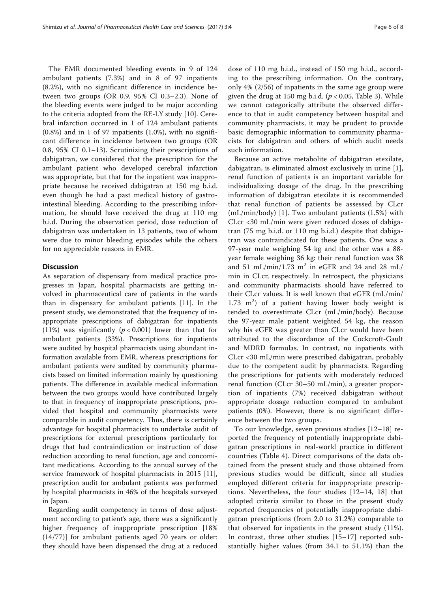The EMR documented bleeding events in 9 of 124 ambulant patients (7.3%) and in 8 of 97 inpatients (8.2%), with no significant difference in incidence between two groups (OR 0.9, 95% CI 0.3–2.3). None of the bleeding events were judged to be major according to the criteria adopted from the RE-LY study [[10](#page-7-0)]. Cerebral infarction occurred in 1 of 124 ambulant patients  $(0.8\%)$  and in 1 of 97 inpatients  $(1.0\%)$ , with no significant difference in incidence between two groups (OR 0.8, 95% CI 0.1–13). Scrutinizing their prescriptions of dabigatran, we considered that the prescription for the ambulant patient who developed cerebral infarction was appropriate, but that for the inpatient was inappropriate because he received dabigatran at 150 mg b.i.d. even though he had a past medical history of gastrointestinal bleeding. According to the prescribing information, he should have received the drug at 110 mg b.i.d. During the observation period, dose reduction of dabigatran was undertaken in 13 patients, two of whom were due to minor bleeding episodes while the others for no appreciable reasons in EMR.

# **Discussion**

As separation of dispensary from medical practice progresses in Japan, hospital pharmacists are getting involved in pharmaceutical care of patients in the wards than in dispensary for ambulant patients [\[11](#page-7-0)]. In the present study, we demonstrated that the frequency of inappropriate prescriptions of dabigatran for inpatients (11%) was significantly ( $p < 0.001$ ) lower than that for ambulant patients (33%). Prescriptions for inpatients were audited by hospital pharmacists using abundant information available from EMR, whereas prescriptions for ambulant patients were audited by community pharmacists based on limited information mainly by questioning patients. The difference in available medical information between the two groups would have contributed largely to that in frequency of inappropriate prescriptions, provided that hospital and community pharmacists were comparable in audit competency. Thus, there is certainly advantage for hospital pharmacists to undertake audit of prescriptions for external prescriptions particularly for drugs that had contraindication or instruction of dose reduction according to renal function, age and concomitant medications. According to the annual survey of the service framework of hospital pharmacists in 2015 [\[11](#page-7-0)], prescription audit for ambulant patients was performed by hospital pharmacists in 46% of the hospitals surveyed in Japan.

Regarding audit competency in terms of dose adjustment according to patient's age, there was a significantly higher frequency of inappropriate prescription [18% (14/77)] for ambulant patients aged 70 years or older: they should have been dispensed the drug at a reduced

dose of 110 mg b.i.d., instead of 150 mg b.i.d., according to the prescribing information. On the contrary, only 4% (2/56) of inpatients in the same age group were given the drug at 150 mg b.i.d. ( $p < 0.05$ , Table [3](#page-4-0)). While we cannot categorically attribute the observed difference to that in audit competency between hospital and community pharmacists, it may be prudent to provide basic demographic information to community pharmacists for dabigatran and others of which audit needs such information.

Because an active metabolite of dabigatran etexilate, dabigatran, is eliminated almost exclusively in urine [\[1](#page-7-0)], renal function of patients is an important variable for individualizing dosage of the drug. In the prescribing information of dabigatran etexilate it is recommended that renal function of patients be assessed by CLcr (mL/min/body) [[1\]](#page-7-0). Two ambulant patients (1.5%) with CLcr <30 mL/min were given reduced doses of dabigatran (75 mg b.i.d. or 110 mg b.i.d.) despite that dabigatran was contraindicated for these patients. One was a 97-year male weighing 54 kg and the other was a 88 year female weighing 36 kg: their renal function was 38 and 51 mL/min/1.73 m<sup>2</sup> in eGFR and 24 and 28 mL/ min in CLcr, respectively. In retrospect, the physicians and community pharmacists should have referred to their CLcr values. It is well known that eGFR (mL/min/  $1.73 \text{ m}^2$ ) of a patient having lower body weight is tended to overestimate CLcr (mL/min/body). Because the 97-year male patient weighted 54 kg, the reason why his eGFR was greater than CLcr would have been attributed to the discordance of the Cockcroft-Gault and MDRD formulas. In contrast, no inpatients with CLcr <30 mL/min were prescribed dabigatran, probably due to the competent audit by pharmacists. Regarding the prescriptions for patients with moderately reduced renal function (CLcr 30–50 mL/min), a greater proportion of inpatients (7%) received dabigatran without appropriate dosage reduction compared to ambulant patients (0%). However, there is no significant difference between the two groups.

To our knowledge, seven previous studies [\[12](#page-7-0)–[18](#page-7-0)] reported the frequency of potentially inappropriate dabigatran prescriptions in real-world practice in different countries (Table [4](#page-6-0)). Direct comparisons of the data obtained from the present study and those obtained from previous studies would be difficult, since all studies employed different criteria for inappropriate prescriptions. Nevertheless, the four studies [[12](#page-7-0)–[14, 18\]](#page-7-0) that adopted criteria similar to those in the present study reported frequencies of potentially inappropriate dabigatran prescriptions (from 2.0 to 31.2%) comparable to that observed for inpatients in the present study (11%). In contrast, three other studies [[15](#page-7-0)–[17](#page-7-0)] reported substantially higher values (from 34.1 to 51.1%) than the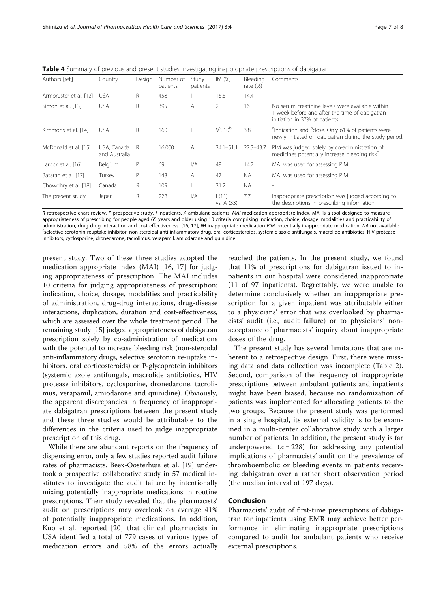| Authors [ref.]         | Country                      | Design | Number of<br>patients | Study<br>patients       | IM(%)                   | Bleeding<br>rate $(\%)$ | Comments                                                                                                                             |
|------------------------|------------------------------|--------|-----------------------|-------------------------|-------------------------|-------------------------|--------------------------------------------------------------------------------------------------------------------------------------|
| Armbruster et al. [12] | <b>USA</b>                   | R      | 458                   |                         | 16.6                    | 14.4                    |                                                                                                                                      |
| Simon et al. [13]      | <b>USA</b>                   | R      | 395                   | A                       | 2                       | 16                      | No serum creatinine levels were available within<br>1 week before and after the time of dabigatran<br>initiation in 37% of patients. |
| Kimmons et al. [14]    | <b>USA</b>                   | R      | 160                   |                         | $9^a$ , 10 <sup>b</sup> | 3.8                     | <sup>a</sup> Indication and <sup>b</sup> dose. Only 61% of patients were<br>newly initiated on dabigatran during the study period.   |
| McDonald et al. [15]   | USA, Canada<br>and Australia | - R    | 16,000                | A                       | $34.1 - 51.1$           | $27.3 - 43.7$           | PIM was judged solely by co-administration of<br>medicines potentially increase bleeding risk <sup>c</sup>                           |
| Larock et al. [16]     | Belgium                      | P      | 69                    | 1/A                     | 49                      | 14.7                    | MAI was used for assessing PIM                                                                                                       |
| Basaran et al. [17]    | Turkey                       | P      | 148                   | A                       | 47                      | <b>NA</b>               | MAI was used for assessing PIM                                                                                                       |
| Chowdhry et al. [18]   | Canada                       | R      | 109                   |                         | 31.2                    | <b>NA</b>               |                                                                                                                                      |
| The present study      | Japan                        | R      | 228                   | $\mathsf{I}/\mathsf{A}$ | 1(11)<br>vs. A (33)     | 7.7                     | Inappropriate prescription was judged according to<br>the descriptions in prescribing information                                    |

<span id="page-6-0"></span>Table 4 Summary of previous and present studies investigating inappropriate prescriptions of dabigatran

R retrospective chart review, P prospective study, I inpatients, A ambulant patients, MAI medication appropriate index, MAI is a tool designed to measure appropriateness of prescribing for people aged 65 years and older using 10 criteria comprising indication, choice, dosage, modalities and practicability of administration, drug-drug interaction and cost-effectiveness. [\[16,](#page-7-0) [17](#page-7-0)], IM inappropriate medication PIM potentially inappropriate medication, NA not available selective serotonin reuptake inhibitor, non-steroidal anti-inflammatory drug, oral corticosteroids, systemic azole antifungals, macrolide antibiotics, HIV protease inhibitors, cyclosporine, dronedarone, tacrolimus, verapamil, amiodarone and quinidine

present study. Two of these three studies adopted the medication appropriate index (MAI) [\[16](#page-7-0), [17\]](#page-7-0) for judging appropriateness of prescription. The MAI includes 10 criteria for judging appropriateness of prescription: indication, choice, dosage, modalities and practicability of administration, drug-drug interactions, drug-disease interactions, duplication, duration and cost-effectiveness, which are assessed over the whole treatment period. The remaining study [\[15\]](#page-7-0) judged appropriateness of dabigatran prescription solely by co-administration of medications with the potential to increase bleeding risk (non-steroidal anti-inflammatory drugs, selective serotonin re-uptake inhibitors, oral corticosteroids) or P-glycoprotein inhibitors (systemic azole antifungals, macrolide antibiotics, HIV protease inhibitors, cyclosporine, dronedarone, tacrolimus, verapamil, amiodarone and quinidine). Obviously, the apparent discrepancies in frequency of inappropriate dabigatran prescriptions between the present study and these three studies would be attributable to the differences in the criteria used to judge inappropriate prescription of this drug.

While there are abundant reports on the frequency of dispensing error, only a few studies reported audit failure rates of pharmacists. Beex-Oosterhuis et al. [\[19](#page-7-0)] undertook a prospective collaborative study in 57 medical institutes to investigate the audit failure by intentionally mixing potentially inappropriate medications in routine prescriptions. Their study revealed that the pharmacists' audit on prescriptions may overlook on average 41% of potentially inappropriate medications. In addition, Kuo et al. reported [\[20](#page-7-0)] that clinical pharmacists in USA identified a total of 779 cases of various types of medication errors and 58% of the errors actually

reached the patients. In the present study, we found that 11% of prescriptions for dabigatran issued to inpatients in our hospital were considered inappropriate (11 of 97 inpatients). Regrettably, we were unable to determine conclusively whether an inappropriate prescription for a given inpatient was attributable either to a physicians' error that was overlooked by pharmacists' audit (i.e., audit failure) or to physicians' nonacceptance of pharmacists' inquiry about inappropriate doses of the drug.

The present study has several limitations that are inherent to a retrospective design. First, there were missing data and data collection was incomplete (Table [2](#page-3-0)). Second, comparison of the frequency of inappropriate prescriptions between ambulant patients and inpatients might have been biased, because no randomization of patients was implemented for allocating patients to the two groups. Because the present study was performed in a single hospital, its external validity is to be examined in a multi-center collaborative study with a larger number of patients. In addition, the present study is far underpowered  $(n = 228)$  for addressing any potential implications of pharmacists' audit on the prevalence of thromboembolic or bleeding events in patients receiving dabigatran over a rather short observation period (the median interval of 197 days).

### Conclusion

Pharmacists' audit of first-time prescriptions of dabigatran for inpatients using EMR may achieve better performance in eliminating inappropriate prescriptions compared to audit for ambulant patients who receive external prescriptions.